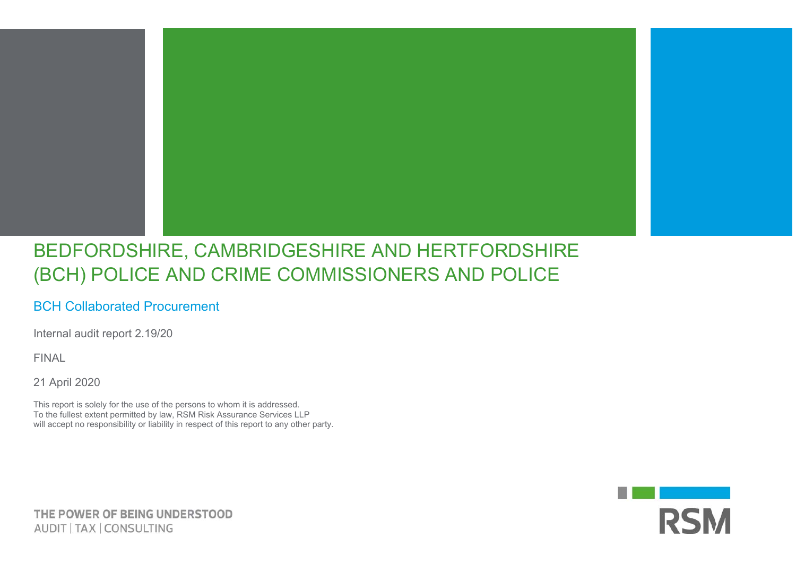## BEDFORDSHIRE, CAMBRIDGESHIRE AND HERTFORDSHIRE (BCH) POLICE AND CRIME COMMISSIONERS AND POLICE

## BCH Collaborated Procurement

Internal audit report 2.19/20

FINAL

21 April 2020

This report is solely for the use of the persons to whom it is addressed. To the fullest extent permitted by law, RSM Risk Assurance Services LLP will accept no responsibility or liability in respect of this report to any other party.



THE POWER OF BEING UNDERSTOOD AUDIT | TAX | CONSULTING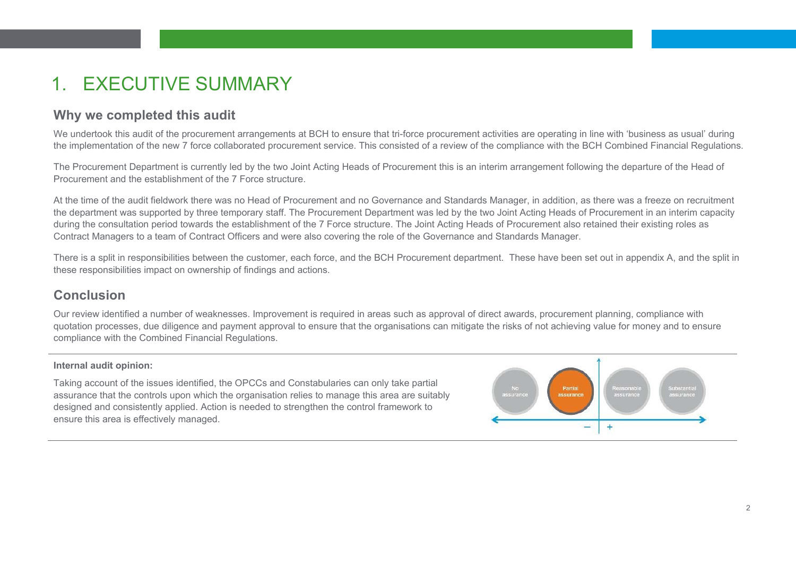# **EXECUTIVE SUMMARY**

### **Why we completed this audit**

We undertook this audit of the procurement arrangements at BCH to ensure that tri-force procurement activities are operating in line with 'business as usual' during the implementation of the new 7 force collaborated procurement service. This consisted of a review of the compliance with the BCH Combined Financial Regulations.

The Procurement Department is currently led by the two Joint Acting Heads of Procurement this is an interim arrangement following the departure of the Head of Procurement and the establishment of the 7 Force structure.

At the time of the audit fieldwork there was no Head of Procurement and no Governance and Standards Manager, in addition, as there was a freeze on recruitment the department was supported by three temporary staff. The Procurement Department was led by the two Joint Acting Heads of Procurement in an interim capacity during the consultation period towards the establishment of the 7 Force structure. The Joint Acting Heads of Procurement also retained their existing roles as Contract Managers to a team of Contract Officers and were also covering the role of the Governance and Standards Manager.

There is a split in responsibilities between the customer, each force, and the BCH Procurement department. These have been set out in appendix A, and the split in these responsibilities impact on ownership of findings and actions.

### **Conclusion**

Our review identified a number of weaknesses. Improvement is required in areas such as approval of direct awards, procurement planning, compliance with quotation processes, due diligence and payment approval to ensure that the organisations can mitigate the risks of not achieving value for money and to ensure compliance with the Combined Financial Regulations.

#### **Internal audit opinion:**

Taking account of the issues identified, the OPCCs and Constabularies can only take partial assurance that the controls upon which the organisation relies to manage this area are suitably designed and consistently applied. Action is needed to strengthen the control framework to ensure this area is effectively managed.

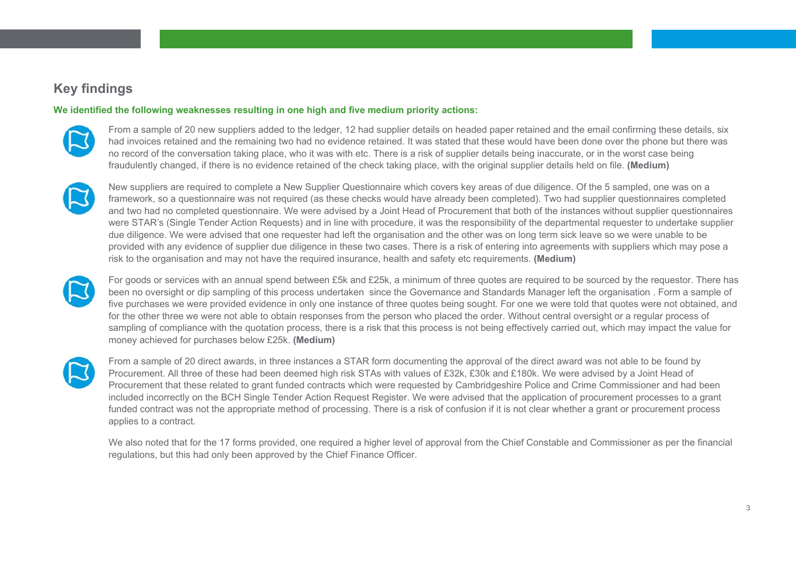### **Key findings**

#### **We identified the following weaknesses resulting in one high and five medium priority actions:**



From a sample of 20 new suppliers added to the ledger, 12 had supplier details on headed paper retained and the email confirming these details, six had invoices retained and the remaining two had no evidence retained. It was stated that these would have been done over the phone but there was no record of the conversation taking place, who it was with etc. There is a risk of supplier details being inaccurate, or in the worst case being fraudulently changed, if there is no evidence retained of the check taking place, with the original supplier details held on file. **(Medium)** 



New suppliers are required to complete a New Supplier Questionnaire which covers key areas of due diligence. Of the 5 sampled, one was on a framework, so a questionnaire was not required (as these checks would have already been completed). Two had supplier questionnaires completed and two had no completed questionnaire. We were advised by a Joint Head of Procurement that both of the instances without supplier questionnaires were STAR's (Single Tender Action Requests) and in line with procedure, it was the responsibility of the departmental requester to undertake supplier due diligence. We were advised that one requester had left the organisation and the other was on long term sick leave so we were unable to be provided with any evidence of supplier due diligence in these two cases. There is a risk of entering into agreements with suppliers which may pose a risk to the organisation and may not have the required insurance, health and safety etc requirements. **(Medium)** 



For goods or services with an annual spend between £5k and £25k, a minimum of three quotes are required to be sourced by the requestor. There has been no oversight or dip sampling of this process undertaken since the Governance and Standards Manager left the organisation . Form a sample of five purchases we were provided evidence in only one instance of three quotes being sought. For one we were told that quotes were not obtained, and for the other three we were not able to obtain responses from the person who placed the order. Without central oversight or a regular process of sampling of compliance with the quotation process, there is a risk that this process is not being effectively carried out, which may impact the value for money achieved for purchases below £25k. **(Medium)** 



From a sample of 20 direct awards, in three instances a STAR form documenting the approval of the direct award was not able to be found by Procurement. All three of these had been deemed high risk STAs with values of £32k, £30k and £180k. We were advised by a Joint Head of Procurement that these related to grant funded contracts which were requested by Cambridgeshire Police and Crime Commissioner and had been included incorrectly on the BCH Single Tender Action Request Register. We were advised that the application of procurement processes to a grant funded contract was not the appropriate method of processing. There is a risk of confusion if it is not clear whether a grant or procurement process applies to a contract.

We also noted that for the 17 forms provided, one required a higher level of approval from the Chief Constable and Commissioner as per the financial regulations, but this had only been approved by the Chief Finance Officer.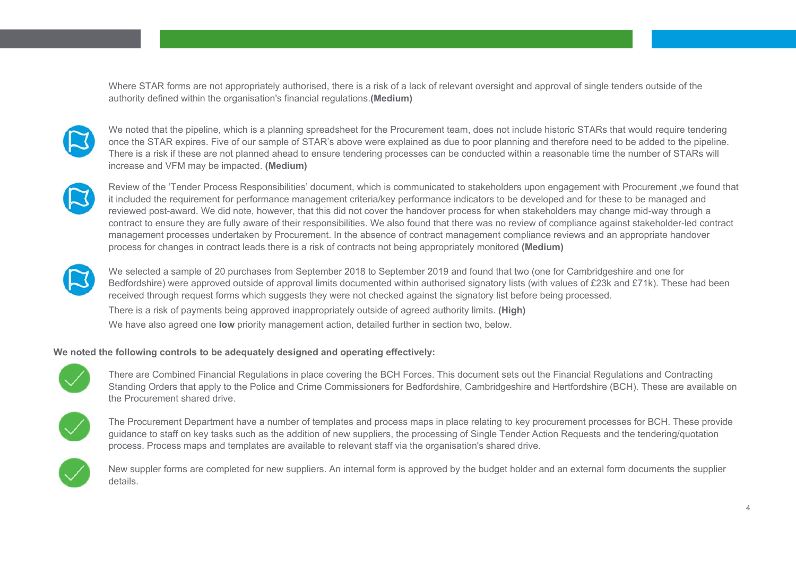Where STAR forms are not appropriately authorised, there is a risk of a lack of relevant oversight and approval of single tenders outside of the authority defined within the organisation's financial regulations.**(Medium)** 



We noted that the pipeline, which is a planning spreadsheet for the Procurement team, does not include historic STARs that would require tendering once the STAR expires. Five of our sample of STAR's above were explained as due to poor planning and therefore need to be added to the pipeline. There is a risk if these are not planned ahead to ensure tendering processes can be conducted within a reasonable time the number of STARs will increase and VFM may be impacted. **(Medium)** 



Review of the 'Tender Process Responsibilities' document, which is communicated to stakeholders upon engagement with Procurement ,we found that it included the requirement for performance management criteria/key performance indicators to be developed and for these to be managed and reviewed post-award. We did note, however, that this did not cover the handover process for when stakeholders may change mid-way through a contract to ensure they are fully aware of their responsibilities. We also found that there was no review of compliance against stakeholder-led contract management processes undertaken by Procurement. In the absence of contract management compliance reviews and an appropriate handover process for changes in contract leads there is a risk of contracts not being appropriately monitored **(Medium)** 



We selected a sample of 20 purchases from September 2018 to September 2019 and found that two (one for Cambridgeshire and one for Bedfordshire) were approved outside of approval limits documented within authorised signatory lists (with values of £23k and £71k). These had been received through request forms which suggests they were not checked against the signatory list before being processed. There is a risk of payments being approved inappropriately outside of agreed authority limits. **(High)**  We have also agreed one **low** priority management action, detailed further in section two, below.

#### **We noted the following controls to be adequately designed and operating effectively:**



 There are Combined Financial Regulations in place covering the BCH Forces. This document sets out the Financial Regulations and Contracting Standing Orders that apply to the Police and Crime Commissioners for Bedfordshire, Cambridgeshire and Hertfordshire (BCH). These are available on the Procurement shared drive.



 The Procurement Department have a number of templates and process maps in place relating to key procurement processes for BCH. These provide guidance to staff on key tasks such as the addition of new suppliers, the processing of Single Tender Action Requests and the tendering/quotation process. Process maps and templates are available to relevant staff via the organisation's shared drive.



New suppler forms are completed for new suppliers. An internal form is approved by the budget holder and an external form documents the supplier details.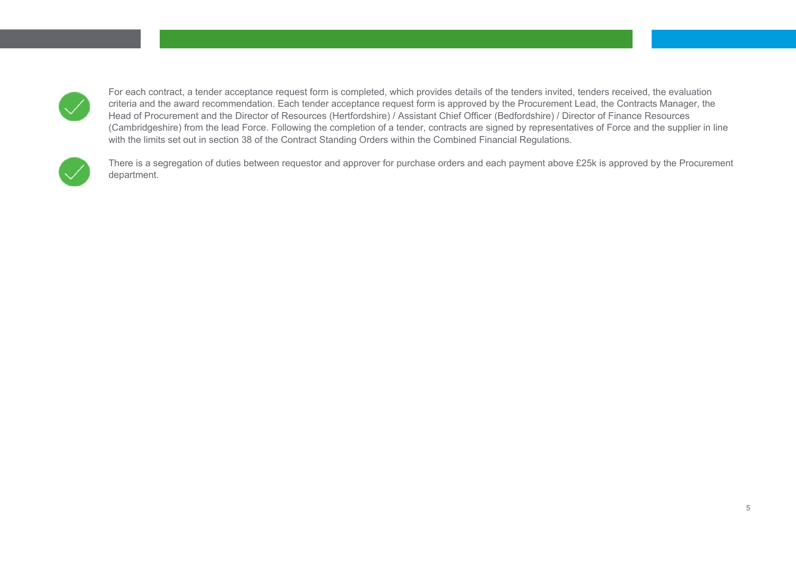

For each contract, a tender acceptance request form is completed, which provides details of the tenders invited, tenders received, the evaluation criteria and the award recommendation. Each tender acceptance request form is approved by the Procurement Lead, the Contracts Manager, the Head of Procurement and the Director of Resources (Hertfordshire) / Assistant Chief Officer (Bedfordshire) / Director of Finance Resources (Cambridgeshire) from the lead Force. Following the completion of a tender, contracts are signed by representatives of Force and the supplier in line with the limits set out in section 38 of the Contract Standing Orders within the Combined Financial Regulations.



There is a segregation of duties between requestor and approver for purchase orders and each payment above £25k is approved by the Procurement department.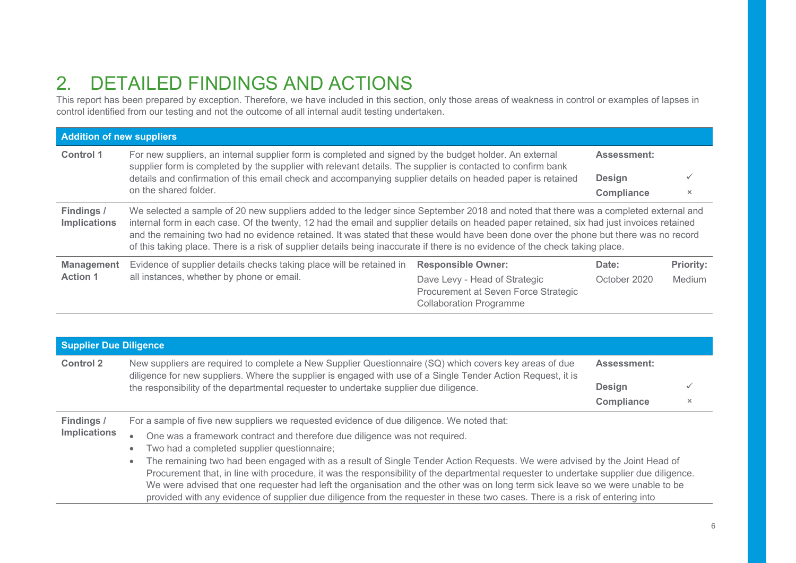# 2. DETAILED FINDINGS AND ACTIONS

This report has been prepared by exception. Therefore, we have included in this section, only those areas of weakness in control or examples of lapses in control identified from our testing and not the outcome of all internal audit testing undertaken.

| <b>Addition of new suppliers</b>  |                                                                                                                                                                                                                                                                                                                                                                                                                                                                                                                                                           |                                                                                                         |                    |                  |
|-----------------------------------|-----------------------------------------------------------------------------------------------------------------------------------------------------------------------------------------------------------------------------------------------------------------------------------------------------------------------------------------------------------------------------------------------------------------------------------------------------------------------------------------------------------------------------------------------------------|---------------------------------------------------------------------------------------------------------|--------------------|------------------|
| <b>Control 1</b>                  | For new suppliers, an internal supplier form is completed and signed by the budget holder. An external<br>supplier form is completed by the supplier with relevant details. The supplier is contacted to confirm bank                                                                                                                                                                                                                                                                                                                                     |                                                                                                         | <b>Assessment:</b> |                  |
|                                   | details and confirmation of this email check and accompanying supplier details on headed paper is retained<br>on the shared folder.                                                                                                                                                                                                                                                                                                                                                                                                                       |                                                                                                         |                    |                  |
|                                   |                                                                                                                                                                                                                                                                                                                                                                                                                                                                                                                                                           |                                                                                                         |                    | $\times$         |
| Findings /<br><b>Implications</b> | We selected a sample of 20 new suppliers added to the ledger since September 2018 and noted that there was a completed external and<br>internal form in each case. Of the twenty, 12 had the email and supplier details on headed paper retained, six had just invoices retained<br>and the remaining two had no evidence retained. It was stated that these would have been done over the phone but there was no record<br>of this taking place. There is a risk of supplier details being inaccurate if there is no evidence of the check taking place. |                                                                                                         |                    |                  |
| <b>Management</b>                 | Evidence of supplier details checks taking place will be retained in                                                                                                                                                                                                                                                                                                                                                                                                                                                                                      | <b>Responsible Owner:</b>                                                                               | Date:              | <b>Priority:</b> |
| <b>Action 1</b>                   | all instances, whether by phone or email.                                                                                                                                                                                                                                                                                                                                                                                                                                                                                                                 | Dave Levy - Head of Strategic<br>Procurement at Seven Force Strategic<br><b>Collaboration Programme</b> | October 2020       | Medium           |

| <b>Supplier Due Diligence</b>                                                                                                   |                                                                                                                                                                                                                                                                                                                 |                                                                                                                                                                                                                                                                |                    |   |  |
|---------------------------------------------------------------------------------------------------------------------------------|-----------------------------------------------------------------------------------------------------------------------------------------------------------------------------------------------------------------------------------------------------------------------------------------------------------------|----------------------------------------------------------------------------------------------------------------------------------------------------------------------------------------------------------------------------------------------------------------|--------------------|---|--|
| <b>Control 2</b>                                                                                                                | New suppliers are required to complete a New Supplier Questionnaire (SQ) which covers key areas of due<br>diligence for new suppliers. Where the supplier is engaged with use of a Single Tender Action Request, it is<br>the responsibility of the departmental requester to undertake supplier due diligence. |                                                                                                                                                                                                                                                                | <b>Assessment:</b> |   |  |
|                                                                                                                                 |                                                                                                                                                                                                                                                                                                                 |                                                                                                                                                                                                                                                                | <b>Design</b>      |   |  |
|                                                                                                                                 |                                                                                                                                                                                                                                                                                                                 |                                                                                                                                                                                                                                                                | <b>Compliance</b>  | × |  |
| Findings /                                                                                                                      | For a sample of five new suppliers we requested evidence of due diligence. We noted that:                                                                                                                                                                                                                       |                                                                                                                                                                                                                                                                |                    |   |  |
| <b>Implications</b>                                                                                                             | $\bullet$                                                                                                                                                                                                                                                                                                       | One was a framework contract and therefore due diligence was not required.                                                                                                                                                                                     |                    |   |  |
|                                                                                                                                 | $\bullet$                                                                                                                                                                                                                                                                                                       | Two had a completed supplier questionnaire;                                                                                                                                                                                                                    |                    |   |  |
| The remaining two had been engaged with as a result of Single Tender Action Requests. We were advised by the Joint Head of<br>۰ |                                                                                                                                                                                                                                                                                                                 |                                                                                                                                                                                                                                                                |                    |   |  |
|                                                                                                                                 |                                                                                                                                                                                                                                                                                                                 | Procurement that, in line with procedure, it was the responsibility of the departmental requester to undertake supplier due diligence.                                                                                                                         |                    |   |  |
|                                                                                                                                 |                                                                                                                                                                                                                                                                                                                 | We were advised that one requester had left the organisation and the other was on long term sick leave so we were unable to be<br>provided with any evidence of supplier due diligence from the requester in these two cases. There is a risk of entering into |                    |   |  |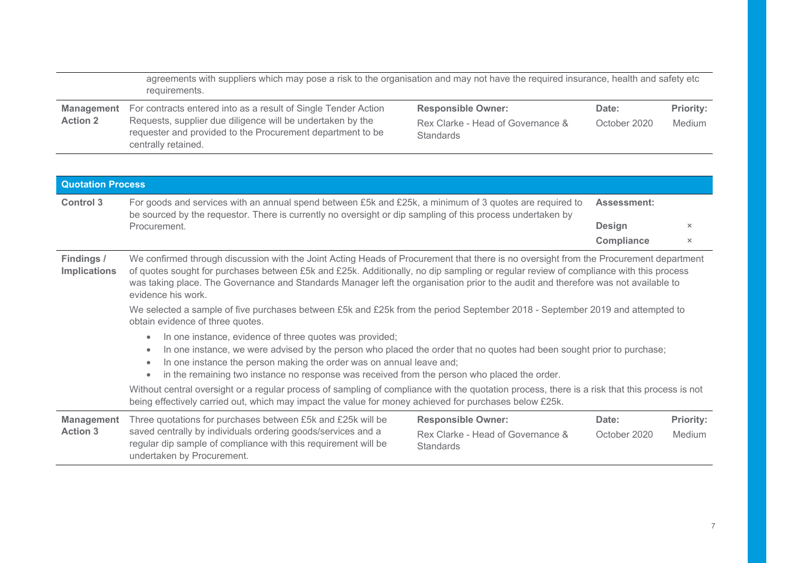|                                                                                                                                                                                                                                           | agreements with suppliers which may pose a risk to the organisation and may not have the required insurance, health and safety etc<br>requirements.                                                                                                                                                                                                                                                                                                                                                                                                                       |                                                                             |                       |                            |
|-------------------------------------------------------------------------------------------------------------------------------------------------------------------------------------------------------------------------------------------|---------------------------------------------------------------------------------------------------------------------------------------------------------------------------------------------------------------------------------------------------------------------------------------------------------------------------------------------------------------------------------------------------------------------------------------------------------------------------------------------------------------------------------------------------------------------------|-----------------------------------------------------------------------------|-----------------------|----------------------------|
| <b>Management</b>                                                                                                                                                                                                                         | For contracts entered into as a result of Single Tender Action                                                                                                                                                                                                                                                                                                                                                                                                                                                                                                            | <b>Responsible Owner:</b>                                                   | Date:                 | <b>Priority:</b>           |
| <b>Action 2</b>                                                                                                                                                                                                                           | Requests, supplier due diligence will be undertaken by the<br>Rex Clarke - Head of Governance &<br>requester and provided to the Procurement department to be<br>Standards<br>centrally retained.                                                                                                                                                                                                                                                                                                                                                                         | October 2020                                                                | Medium                |                            |
| <b>Quotation Process</b>                                                                                                                                                                                                                  |                                                                                                                                                                                                                                                                                                                                                                                                                                                                                                                                                                           |                                                                             |                       |                            |
| For goods and services with an annual spend between £5k and £25k, a minimum of 3 quotes are required to<br><b>Control 3</b><br>be sourced by the requestor. There is currently no oversight or dip sampling of this process undertaken by |                                                                                                                                                                                                                                                                                                                                                                                                                                                                                                                                                                           | <b>Assessment:</b>                                                          |                       |                            |
|                                                                                                                                                                                                                                           | Procurement.                                                                                                                                                                                                                                                                                                                                                                                                                                                                                                                                                              |                                                                             | <b>Design</b>         | $\times$                   |
|                                                                                                                                                                                                                                           |                                                                                                                                                                                                                                                                                                                                                                                                                                                                                                                                                                           |                                                                             | <b>Compliance</b>     | $\times$                   |
| Findings /<br><b>Implications</b>                                                                                                                                                                                                         | We confirmed through discussion with the Joint Acting Heads of Procurement that there is no oversight from the Procurement department<br>of quotes sought for purchases between £5k and £25k. Additionally, no dip sampling or regular review of compliance with this process<br>was taking place. The Governance and Standards Manager left the organisation prior to the audit and therefore was not available to<br>evidence his work.<br>We selected a sample of five purchases between £5k and £25k from the period September 2018 - September 2019 and attempted to |                                                                             |                       |                            |
|                                                                                                                                                                                                                                           | obtain evidence of three quotes.                                                                                                                                                                                                                                                                                                                                                                                                                                                                                                                                          |                                                                             |                       |                            |
|                                                                                                                                                                                                                                           | In one instance, evidence of three quotes was provided;<br>$\bullet$<br>In one instance, we were advised by the person who placed the order that no quotes had been sought prior to purchase;<br>$\bullet$<br>In one instance the person making the order was on annual leave and;<br>$\bullet$<br>in the remaining two instance no response was received from the person who placed the order.                                                                                                                                                                           |                                                                             |                       |                            |
|                                                                                                                                                                                                                                           | Without central oversight or a regular process of sampling of compliance with the quotation process, there is a risk that this process is not<br>being effectively carried out, which may impact the value for money achieved for purchases below £25k.                                                                                                                                                                                                                                                                                                                   |                                                                             |                       |                            |
| <b>Management</b><br><b>Action 3</b>                                                                                                                                                                                                      | Three quotations for purchases between £5k and £25k will be<br>saved centrally by individuals ordering goods/services and a<br>regular dip sample of compliance with this requirement will be<br>undertaken by Procurement.                                                                                                                                                                                                                                                                                                                                               | <b>Responsible Owner:</b><br>Rex Clarke - Head of Governance &<br>Standards | Date:<br>October 2020 | <b>Priority:</b><br>Medium |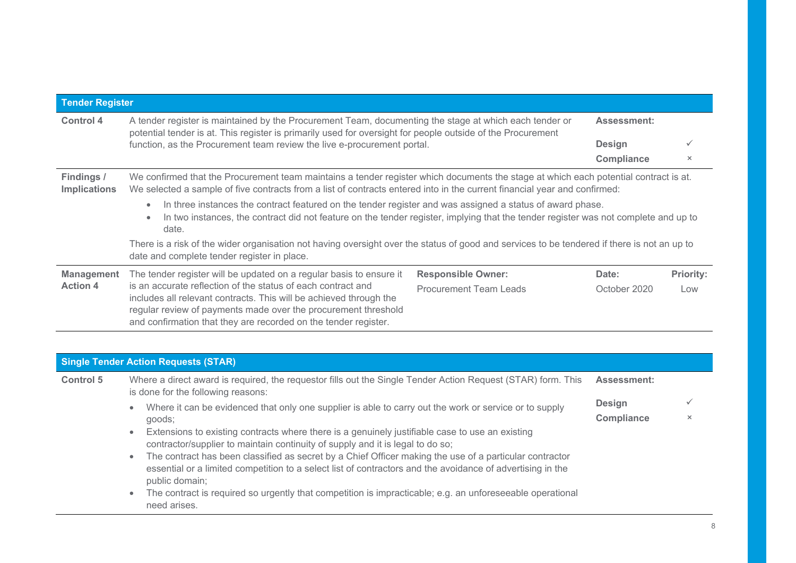| <b>Tender Register</b>            |                                                                                                                                                                                                                                                                                     |                               |                   |                  |
|-----------------------------------|-------------------------------------------------------------------------------------------------------------------------------------------------------------------------------------------------------------------------------------------------------------------------------------|-------------------------------|-------------------|------------------|
| Control 4                         | A tender register is maintained by the Procurement Team, documenting the stage at which each tender or<br><b>Assessment:</b><br>potential tender is at. This register is primarily used for oversight for people outside of the Procurement                                         |                               |                   |                  |
|                                   | function, as the Procurement team review the live e-procurement portal.                                                                                                                                                                                                             |                               | <b>Design</b>     |                  |
|                                   |                                                                                                                                                                                                                                                                                     |                               | <b>Compliance</b> | $\times$         |
| Findings /<br><b>Implications</b> | We confirmed that the Procurement team maintains a tender register which documents the stage at which each potential contract is at.<br>We selected a sample of five contracts from a list of contracts entered into in the current financial year and confirmed:                   |                               |                   |                  |
|                                   | In three instances the contract featured on the tender register and was assigned a status of award phase.<br>$\bullet$<br>In two instances, the contract did not feature on the tender register, implying that the tender register was not complete and up to<br>$\bullet$<br>date. |                               |                   |                  |
|                                   | There is a risk of the wider organisation not having oversight over the status of good and services to be tendered if there is not an up to<br>date and complete tender register in place.                                                                                          |                               |                   |                  |
| <b>Management</b>                 | <b>Responsible Owner:</b><br>The tender register will be updated on a regular basis to ensure it                                                                                                                                                                                    |                               | Date:             | <b>Priority:</b> |
| <b>Action 4</b>                   | is an accurate reflection of the status of each contract and<br>includes all relevant contracts. This will be achieved through the<br>regular review of payments made over the procurement threshold<br>and confirmation that they are recorded on the tender register.             | <b>Procurement Team Leads</b> | October 2020      | Low              |

### **Single Tender Action Requests (STAR)**

| <b>Control 5</b> | Where a direct award is required, the requestor fills out the Single Tender Action Request (STAR) form. This<br>is done for the following reasons:                                                                                                   |                                    |          |
|------------------|------------------------------------------------------------------------------------------------------------------------------------------------------------------------------------------------------------------------------------------------------|------------------------------------|----------|
|                  | Where it can be evidenced that only one supplier is able to carry out the work or service or to supply<br>$\bullet$                                                                                                                                  | <b>Design</b><br><b>Compliance</b> |          |
|                  | goods;                                                                                                                                                                                                                                               |                                    | $\times$ |
|                  | Extensions to existing contracts where there is a genuinely justifiable case to use an existing<br>$\bullet$<br>contractor/supplier to maintain continuity of supply and it is legal to do so;                                                       |                                    |          |
|                  | The contract has been classified as secret by a Chief Officer making the use of a particular contractor<br>$\bullet$<br>essential or a limited competition to a select list of contractors and the avoidance of advertising in the<br>public domain; |                                    |          |
|                  | The contract is required so urgently that competition is impracticable; e.g. an unforeseeable operational<br>$\bullet$<br>need arises.                                                                                                               |                                    |          |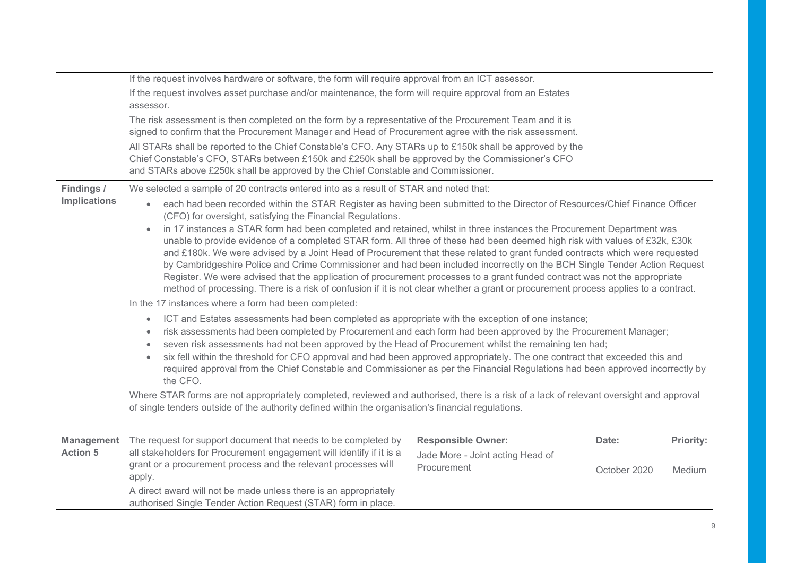|                                      | If the request involves hardware or software, the form will require approval from an ICT assessor.                                                                                                                                                                                                                                                                                                                                                                                                                                                                                                                                                                                                                                                                                    |                                                               |              |                  |  |
|--------------------------------------|---------------------------------------------------------------------------------------------------------------------------------------------------------------------------------------------------------------------------------------------------------------------------------------------------------------------------------------------------------------------------------------------------------------------------------------------------------------------------------------------------------------------------------------------------------------------------------------------------------------------------------------------------------------------------------------------------------------------------------------------------------------------------------------|---------------------------------------------------------------|--------------|------------------|--|
|                                      | If the request involves asset purchase and/or maintenance, the form will require approval from an Estates<br>assessor.                                                                                                                                                                                                                                                                                                                                                                                                                                                                                                                                                                                                                                                                |                                                               |              |                  |  |
|                                      | The risk assessment is then completed on the form by a representative of the Procurement Team and it is<br>signed to confirm that the Procurement Manager and Head of Procurement agree with the risk assessment.                                                                                                                                                                                                                                                                                                                                                                                                                                                                                                                                                                     |                                                               |              |                  |  |
|                                      | All STARs shall be reported to the Chief Constable's CFO. Any STARs up to £150k shall be approved by the<br>Chief Constable's CFO, STARs between £150k and £250k shall be approved by the Commissioner's CFO<br>and STARs above £250k shall be approved by the Chief Constable and Commissioner.                                                                                                                                                                                                                                                                                                                                                                                                                                                                                      |                                                               |              |                  |  |
| Findings /                           | We selected a sample of 20 contracts entered into as a result of STAR and noted that:                                                                                                                                                                                                                                                                                                                                                                                                                                                                                                                                                                                                                                                                                                 |                                                               |              |                  |  |
| <b>Implications</b>                  | each had been recorded within the STAR Register as having been submitted to the Director of Resources/Chief Finance Officer<br>(CFO) for oversight, satisfying the Financial Regulations.                                                                                                                                                                                                                                                                                                                                                                                                                                                                                                                                                                                             |                                                               |              |                  |  |
|                                      | in 17 instances a STAR form had been completed and retained, whilst in three instances the Procurement Department was<br>unable to provide evidence of a completed STAR form. All three of these had been deemed high risk with values of £32k, £30k<br>and £180k. We were advised by a Joint Head of Procurement that these related to grant funded contracts which were requested<br>by Cambridgeshire Police and Crime Commissioner and had been included incorrectly on the BCH Single Tender Action Request<br>Register. We were advised that the application of procurement processes to a grant funded contract was not the appropriate<br>method of processing. There is a risk of confusion if it is not clear whether a grant or procurement process applies to a contract. |                                                               |              |                  |  |
|                                      | In the 17 instances where a form had been completed:                                                                                                                                                                                                                                                                                                                                                                                                                                                                                                                                                                                                                                                                                                                                  |                                                               |              |                  |  |
|                                      | ICT and Estates assessments had been completed as appropriate with the exception of one instance;<br>$\bullet$<br>risk assessments had been completed by Procurement and each form had been approved by the Procurement Manager;<br>$\bullet$<br>seven risk assessments had not been approved by the Head of Procurement whilst the remaining ten had;<br>$\bullet$<br>six fell within the threshold for CFO approval and had been approved appropriately. The one contract that exceeded this and<br>$\bullet$<br>required approval from the Chief Constable and Commissioner as per the Financial Regulations had been approved incorrectly by<br>the CFO.                                                                                                                          |                                                               |              |                  |  |
|                                      | Where STAR forms are not appropriately completed, reviewed and authorised, there is a risk of a lack of relevant oversight and approval<br>of single tenders outside of the authority defined within the organisation's financial regulations.                                                                                                                                                                                                                                                                                                                                                                                                                                                                                                                                        |                                                               |              |                  |  |
|                                      |                                                                                                                                                                                                                                                                                                                                                                                                                                                                                                                                                                                                                                                                                                                                                                                       |                                                               |              |                  |  |
| <b>Management</b><br><b>Action 5</b> | The request for support document that needs to be completed by<br>all stakeholders for Procurement engagement will identify if it is a                                                                                                                                                                                                                                                                                                                                                                                                                                                                                                                                                                                                                                                | <b>Responsible Owner:</b><br>Jade More - Joint acting Head of | Date:        | <b>Priority:</b> |  |
|                                      | grant or a procurement process and the relevant processes will<br>apply.                                                                                                                                                                                                                                                                                                                                                                                                                                                                                                                                                                                                                                                                                                              | Procurement                                                   | October 2020 | Medium           |  |
|                                      | A direct award will not be made unless there is an appropriately<br>authorised Single Tender Action Request (STAR) form in place.                                                                                                                                                                                                                                                                                                                                                                                                                                                                                                                                                                                                                                                     |                                                               |              |                  |  |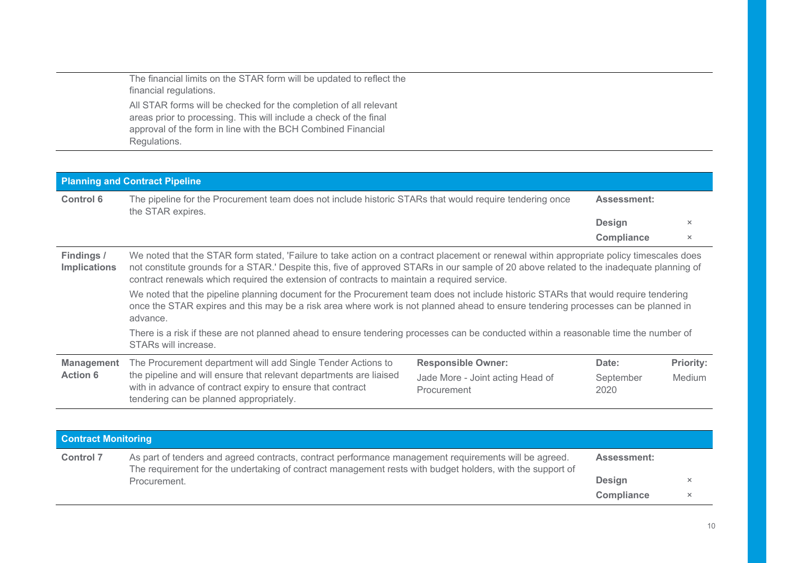The financial limits on the STAR form will be updated to reflect the financial regulations. All STAR forms will be checked for the completion of all relevant areas prior to processing. This will include a check of the final approval of the form in line with the BCH Combined Financial Regulations.

|                                   | <b>Planning and Contract Pipeline</b>                                                                                                                                                                                                                                                                                                                                               |                                                 |                    |                  |  |
|-----------------------------------|-------------------------------------------------------------------------------------------------------------------------------------------------------------------------------------------------------------------------------------------------------------------------------------------------------------------------------------------------------------------------------------|-------------------------------------------------|--------------------|------------------|--|
| <b>Control 6</b>                  | The pipeline for the Procurement team does not include historic STARs that would require tendering once<br>the STAR expires.                                                                                                                                                                                                                                                        |                                                 | <b>Assessment:</b> |                  |  |
|                                   |                                                                                                                                                                                                                                                                                                                                                                                     |                                                 | <b>Design</b>      | $\times$         |  |
|                                   |                                                                                                                                                                                                                                                                                                                                                                                     |                                                 | <b>Compliance</b>  | $\times$         |  |
| Findings /<br><b>Implications</b> | We noted that the STAR form stated, 'Failure to take action on a contract placement or renewal within appropriate policy timescales does<br>not constitute grounds for a STAR.' Despite this, five of approved STARs in our sample of 20 above related to the inadequate planning of<br>contract renewals which required the extension of contracts to maintain a required service. |                                                 |                    |                  |  |
|                                   | We noted that the pipeline planning document for the Procurement team does not include historic STARs that would require tendering<br>once the STAR expires and this may be a risk area where work is not planned ahead to ensure tendering processes can be planned in<br>advance.                                                                                                 |                                                 |                    |                  |  |
|                                   | There is a risk if these are not planned ahead to ensure tendering processes can be conducted within a reasonable time the number of<br>STARs will increase.                                                                                                                                                                                                                        |                                                 |                    |                  |  |
| <b>Management</b>                 | The Procurement department will add Single Tender Actions to                                                                                                                                                                                                                                                                                                                        | <b>Responsible Owner:</b>                       | Date:              | <b>Priority:</b> |  |
| <b>Action 6</b>                   | the pipeline and will ensure that relevant departments are liaised<br>with in advance of contract expiry to ensure that contract<br>tendering can be planned appropriately.                                                                                                                                                                                                         | Jade More - Joint acting Head of<br>Procurement | September<br>2020  | Medium           |  |

| <b>Contract Monitoring</b> |                                                                                                                                                                                                                    |                    |          |
|----------------------------|--------------------------------------------------------------------------------------------------------------------------------------------------------------------------------------------------------------------|--------------------|----------|
| <b>Control 7</b>           | As part of tenders and agreed contracts, contract performance management requirements will be agreed.<br>The requirement for the undertaking of contract management rests with budget holders, with the support of | <b>Assessment:</b> |          |
|                            | Procurement.                                                                                                                                                                                                       | Design             |          |
|                            |                                                                                                                                                                                                                    | <b>Compliance</b>  | $\times$ |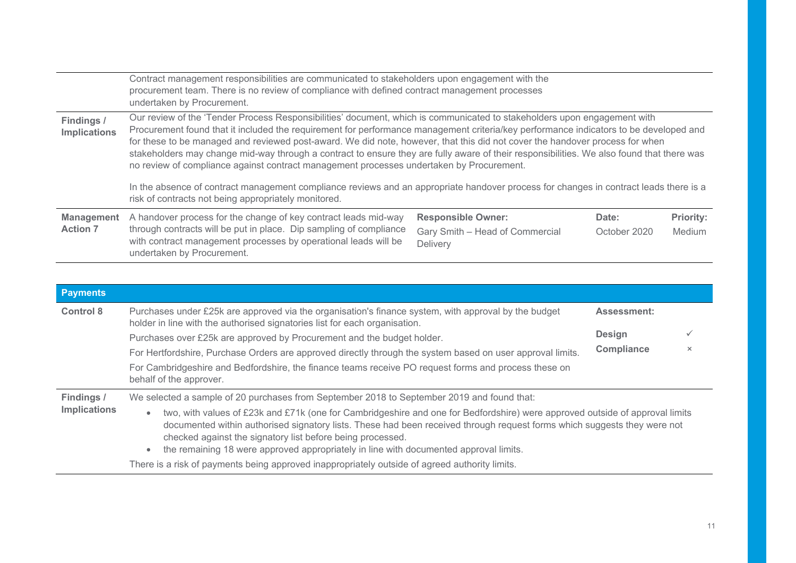|                                   | Contract management responsibilities are communicated to stakeholders upon engagement with the<br>procurement team. There is no review of compliance with defined contract management processes<br>undertaken by Procurement.                                                                                                                                                                                                                                                                                                                                                                                                                                                                                                                                                                                                               |                                             |              |                  |
|-----------------------------------|---------------------------------------------------------------------------------------------------------------------------------------------------------------------------------------------------------------------------------------------------------------------------------------------------------------------------------------------------------------------------------------------------------------------------------------------------------------------------------------------------------------------------------------------------------------------------------------------------------------------------------------------------------------------------------------------------------------------------------------------------------------------------------------------------------------------------------------------|---------------------------------------------|--------------|------------------|
| Findings /<br><b>Implications</b> | Our review of the 'Tender Process Responsibilities' document, which is communicated to stakeholders upon engagement with<br>Procurement found that it included the requirement for performance management criteria/key performance indicators to be developed and<br>for these to be managed and reviewed post-award. We did note, however, that this did not cover the handover process for when<br>stakeholders may change mid-way through a contract to ensure they are fully aware of their responsibilities. We also found that there was<br>no review of compliance against contract management processes undertaken by Procurement.<br>In the absence of contract management compliance reviews and an appropriate handover process for changes in contract leads there is a<br>risk of contracts not being appropriately monitored. |                                             |              |                  |
| <b>Management</b>                 | A handover process for the change of key contract leads mid-way                                                                                                                                                                                                                                                                                                                                                                                                                                                                                                                                                                                                                                                                                                                                                                             | <b>Responsible Owner:</b>                   | Date:        | <b>Priority:</b> |
| <b>Action 7</b>                   | through contracts will be put in place. Dip sampling of compliance<br>with contract management processes by operational leads will be<br>undertaken by Procurement.                                                                                                                                                                                                                                                                                                                                                                                                                                                                                                                                                                                                                                                                         | Gary Smith - Head of Commercial<br>Delivery | October 2020 | Medium           |

| <b>Payments</b>     |                                                                                                                                                                                                                                                                                                                                                                                                                                           |  |  |
|---------------------|-------------------------------------------------------------------------------------------------------------------------------------------------------------------------------------------------------------------------------------------------------------------------------------------------------------------------------------------------------------------------------------------------------------------------------------------|--|--|
| <b>Control 8</b>    | Purchases under £25k are approved via the organisation's finance system, with approval by the budget<br><b>Assessment:</b><br>holder in line with the authorised signatories list for each organisation.                                                                                                                                                                                                                                  |  |  |
|                     | <b>Design</b><br>Purchases over £25k are approved by Procurement and the budget holder.                                                                                                                                                                                                                                                                                                                                                   |  |  |
|                     | <b>Compliance</b><br>$\times$<br>For Hertfordshire, Purchase Orders are approved directly through the system based on user approval limits.                                                                                                                                                                                                                                                                                               |  |  |
|                     | For Cambridgeshire and Bedfordshire, the finance teams receive PO request forms and process these on<br>behalf of the approver.                                                                                                                                                                                                                                                                                                           |  |  |
| Findings /          | We selected a sample of 20 purchases from September 2018 to September 2019 and found that:                                                                                                                                                                                                                                                                                                                                                |  |  |
| <b>Implications</b> | two, with values of £23k and £71k (one for Cambridgeshire and one for Bedfordshire) were approved outside of approval limits<br>$\bullet$<br>documented within authorised signatory lists. These had been received through request forms which suggests they were not<br>checked against the signatory list before being processed.<br>the remaining 18 were approved appropriately in line with documented approval limits.<br>$\bullet$ |  |  |
|                     | There is a risk of payments being approved inappropriately outside of agreed authority limits.                                                                                                                                                                                                                                                                                                                                            |  |  |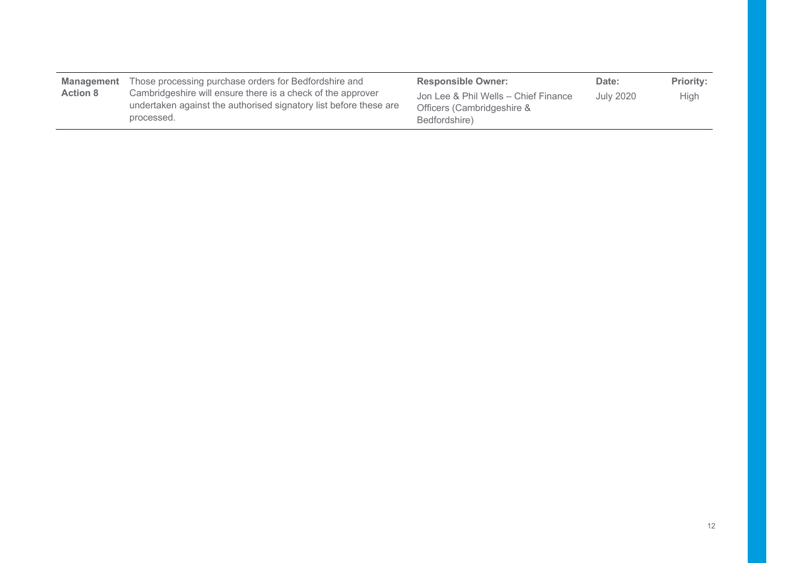| Management      | Those processing purchase orders for Bedfordshire and                                                                                          | <b>Responsible Owner:</b>                                                           | Date:            | <b>Priority:</b> |
|-----------------|------------------------------------------------------------------------------------------------------------------------------------------------|-------------------------------------------------------------------------------------|------------------|------------------|
| <b>Action 8</b> | Cambridgeshire will ensure there is a check of the approver<br>undertaken against the authorised signatory list before these are<br>processed. | Jon Lee & Phil Wells - Chief Finance<br>Officers (Cambridgeshire &<br>Bedfordshire) | <b>July 2020</b> | <b>High</b>      |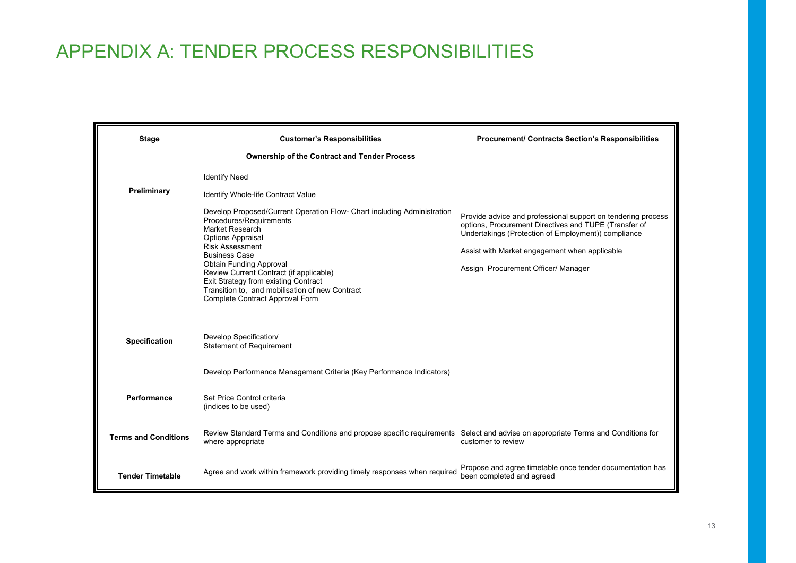## APPENDIX A: TENDER PROCESS RESPONSIBILITIES

| <b>Stage</b>                | <b>Customer's Responsibilities</b>                                                                                                                                                                                                                                                                                                                                                                             | <b>Procurement/ Contracts Section's Responsibilities</b>                                                                                                                                                                                                             |
|-----------------------------|----------------------------------------------------------------------------------------------------------------------------------------------------------------------------------------------------------------------------------------------------------------------------------------------------------------------------------------------------------------------------------------------------------------|----------------------------------------------------------------------------------------------------------------------------------------------------------------------------------------------------------------------------------------------------------------------|
|                             | <b>Ownership of the Contract and Tender Process</b>                                                                                                                                                                                                                                                                                                                                                            |                                                                                                                                                                                                                                                                      |
|                             | <b>Identify Need</b>                                                                                                                                                                                                                                                                                                                                                                                           |                                                                                                                                                                                                                                                                      |
| Preliminary                 | Identify Whole-life Contract Value                                                                                                                                                                                                                                                                                                                                                                             |                                                                                                                                                                                                                                                                      |
|                             | Develop Proposed/Current Operation Flow- Chart including Administration<br>Procedures/Requirements<br>Market Research<br><b>Options Appraisal</b><br><b>Risk Assessment</b><br><b>Business Case</b><br><b>Obtain Funding Approval</b><br>Review Current Contract (if applicable)<br>Exit Strategy from existing Contract<br>Transition to, and mobilisation of new Contract<br>Complete Contract Approval Form | Provide advice and professional support on tendering process<br>options, Procurement Directives and TUPE (Transfer of<br>Undertakings (Protection of Employment)) compliance<br>Assist with Market engagement when applicable<br>Assign Procurement Officer/ Manager |
| <b>Specification</b>        | Develop Specification/<br><b>Statement of Requirement</b>                                                                                                                                                                                                                                                                                                                                                      |                                                                                                                                                                                                                                                                      |
|                             | Develop Performance Management Criteria (Key Performance Indicators)                                                                                                                                                                                                                                                                                                                                           |                                                                                                                                                                                                                                                                      |
| Performance                 | Set Price Control criteria<br>(indices to be used)                                                                                                                                                                                                                                                                                                                                                             |                                                                                                                                                                                                                                                                      |
| <b>Terms and Conditions</b> | Review Standard Terms and Conditions and propose specific requirements Select and advise on appropriate Terms and Conditions for<br>where appropriate                                                                                                                                                                                                                                                          | customer to review                                                                                                                                                                                                                                                   |
| <b>Tender Timetable</b>     | Agree and work within framework providing timely responses when required                                                                                                                                                                                                                                                                                                                                       | Propose and agree timetable once tender documentation has<br>been completed and agreed                                                                                                                                                                               |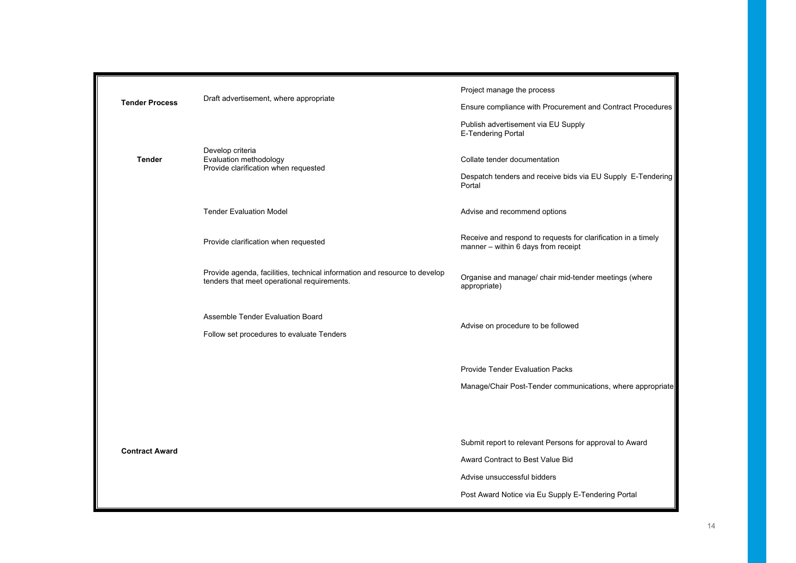| <b>Tender Process</b> |                                                                                                                          | Project manage the process                                                                           |  |  |  |
|-----------------------|--------------------------------------------------------------------------------------------------------------------------|------------------------------------------------------------------------------------------------------|--|--|--|
|                       | Draft advertisement, where appropriate                                                                                   | Ensure compliance with Procurement and Contract Procedures                                           |  |  |  |
|                       |                                                                                                                          | Publish advertisement via EU Supply<br><b>E-Tendering Portal</b>                                     |  |  |  |
| <b>Tender</b>         | Develop criteria<br>Evaluation methodology<br>Provide clarification when requested                                       | Collate tender documentation                                                                         |  |  |  |
|                       |                                                                                                                          | Despatch tenders and receive bids via EU Supply E-Tendering<br>Portal                                |  |  |  |
|                       | <b>Tender Evaluation Model</b>                                                                                           | Advise and recommend options                                                                         |  |  |  |
|                       | Provide clarification when requested                                                                                     | Receive and respond to requests for clarification in a timely<br>manner - within 6 days from receipt |  |  |  |
|                       | Provide agenda, facilities, technical information and resource to develop<br>tenders that meet operational requirements. | Organise and manage/ chair mid-tender meetings (where<br>appropriate)                                |  |  |  |
|                       | Assemble Tender Evaluation Board<br>Follow set procedures to evaluate Tenders                                            | Advise on procedure to be followed                                                                   |  |  |  |
|                       |                                                                                                                          | Provide Tender Evaluation Packs                                                                      |  |  |  |
|                       |                                                                                                                          | Manage/Chair Post-Tender communications, where appropriate                                           |  |  |  |
|                       |                                                                                                                          |                                                                                                      |  |  |  |
| <b>Contract Award</b> |                                                                                                                          | Submit report to relevant Persons for approval to Award                                              |  |  |  |
|                       |                                                                                                                          | Award Contract to Best Value Bid                                                                     |  |  |  |
|                       |                                                                                                                          | Advise unsuccessful bidders                                                                          |  |  |  |
|                       |                                                                                                                          | Post Award Notice via Eu Supply E-Tendering Portal                                                   |  |  |  |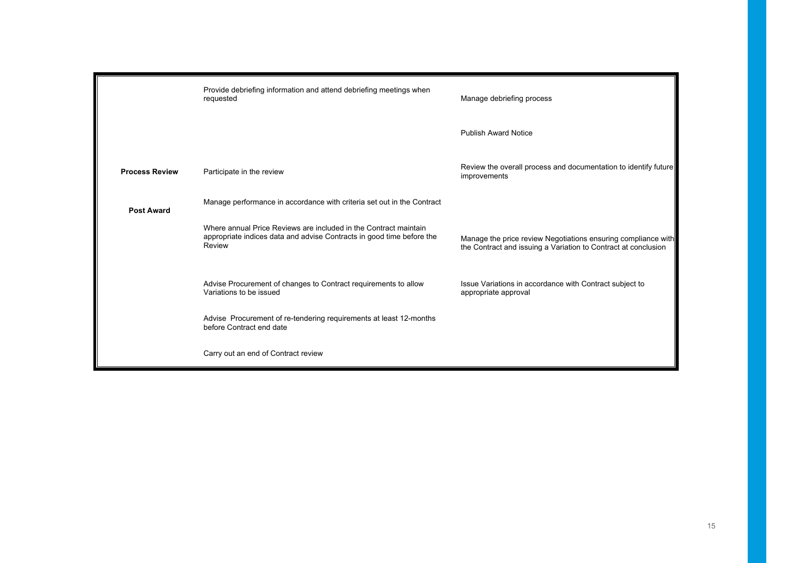|                       | Provide debriefing information and attend debriefing meetings when<br>requested                                                                     | Manage debriefing process                                                                                                       |
|-----------------------|-----------------------------------------------------------------------------------------------------------------------------------------------------|---------------------------------------------------------------------------------------------------------------------------------|
|                       |                                                                                                                                                     | <b>Publish Award Notice</b>                                                                                                     |
| <b>Process Review</b> | Participate in the review                                                                                                                           | Review the overall process and documentation to identify future<br>improvements                                                 |
| <b>Post Award</b>     | Manage performance in accordance with criteria set out in the Contract                                                                              |                                                                                                                                 |
|                       | Where annual Price Reviews are included in the Contract maintain<br>appropriate indices data and advise Contracts in good time before the<br>Review | Manage the price review Negotiations ensuring compliance with<br>the Contract and issuing a Variation to Contract at conclusion |
|                       | Advise Procurement of changes to Contract requirements to allow<br>Variations to be issued                                                          | Issue Variations in accordance with Contract subject to<br>appropriate approval                                                 |
|                       | Advise Procurement of re-tendering requirements at least 12-months<br>before Contract end date                                                      |                                                                                                                                 |
|                       | Carry out an end of Contract review                                                                                                                 |                                                                                                                                 |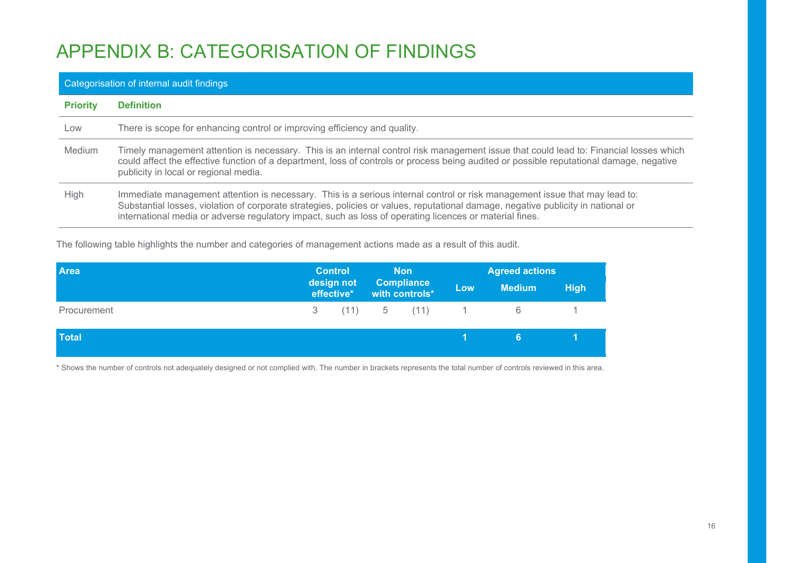# APPENDIX B: CATEGORISATION OF FINDINGS

## Categorisation of internal audit findings **Priority Definition**  Low There is scope for enhancing control or improving efficiency and quality. Medium Timely management attention is necessary. This is an internal control risk management issue that could lead to: Financial losses which could affect the effective function of a department, loss of controls or process being audited or possible reputational damage, negative publicity in local or regional media. High Immediate management attention is necessary. This is a serious internal control or risk management issue that may lead to: Substantial losses, violation of corporate strategies, policies or values, reputational damage, negative publicity in national or international media or adverse regulatory impact, such as loss of operating licences or material fines.

The following table highlights the number and categories of management actions made as a result of this audit.

| <b>Area</b>  | <b>Control</b>           |  | <b>Non</b>                          |     | <b>Agreed actions</b> |             |  |
|--------------|--------------------------|--|-------------------------------------|-----|-----------------------|-------------|--|
|              | design not<br>effective* |  | <b>Compliance</b><br>with controls* | Low | <b>Medium</b>         | <b>High</b> |  |
| Procurement  |                          |  | 3 (11) 5 (11) 1 6                   |     |                       |             |  |
| <b>Total</b> |                          |  |                                     |     | 6.                    |             |  |

\* Shows the number of controls not adequately designed or not complied with. The number in brackets represents the total number of controls reviewed in this area.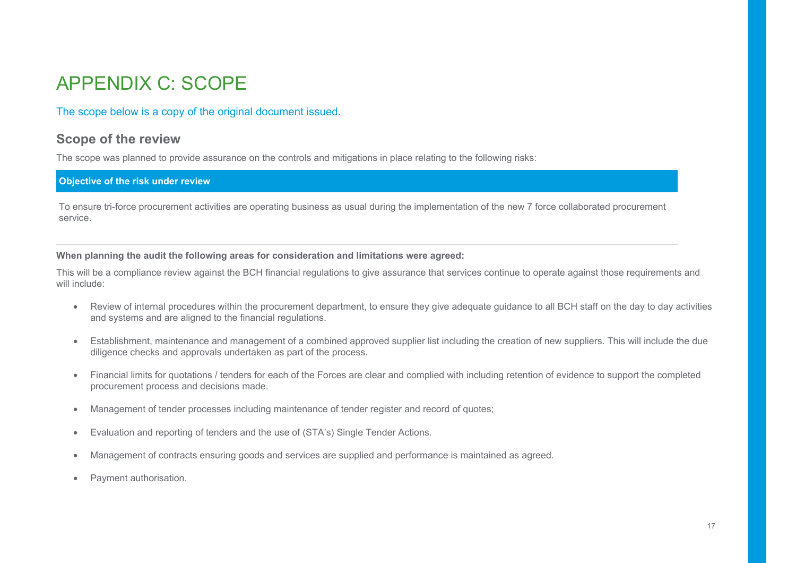## APPENDIX C: SCOPE

### The scope below is a copy of the original document issued.

### **Scope of the review**

The scope was planned to provide assurance on the controls and mitigations in place relating to the following risks:

#### **Objective of the risk under review**

To ensure tri-force procurement activities are operating business as usual during the implementation of the new 7 force collaborated procurement service.

**When planning the audit the following areas for consideration and limitations were agreed:** 

This will be a compliance review against the BCH financial regulations to give assurance that services continue to operate against those requirements and will include:

- Review of internal procedures within the procurement department, to ensure they give adequate guidance to all BCH staff on the day to day activities and systems and are aligned to the financial regulations.
- Establishment, maintenance and management of a combined approved supplier list including the creation of new suppliers. This will include the due diligence checks and approvals undertaken as part of the process.
- Financial limits for quotations / tenders for each of the Forces are clear and complied with including retention of evidence to support the completed procurement process and decisions made.
- Management of tender processes including maintenance of tender register and record of quotes;
- Evaluation and reporting of tenders and the use of (STA's) Single Tender Actions.
- Management of contracts ensuring goods and services are supplied and performance is maintained as agreed.
- Payment authorisation.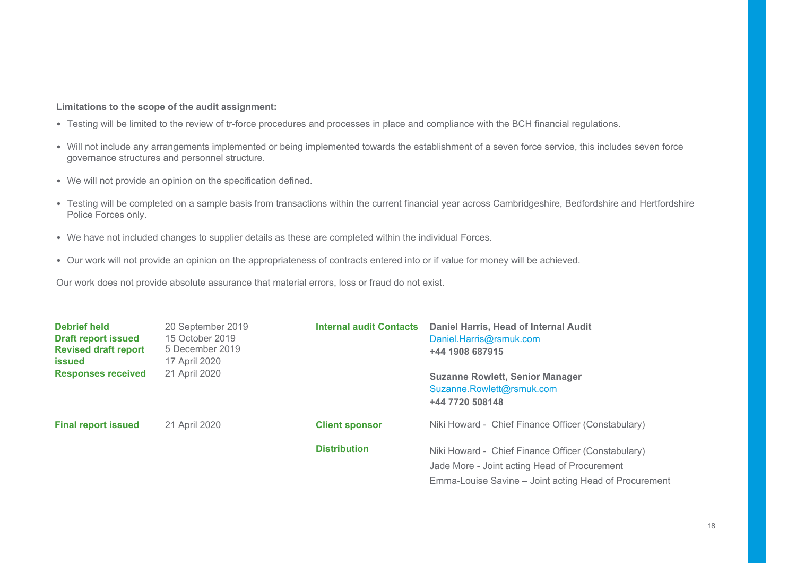#### **Limitations to the scope of the audit assignment:**

- Testing will be limited to the review of tr-force procedures and processes in place and compliance with the BCH financial regulations.
- Will not include any arrangements implemented or being implemented towards the establishment of a seven force service, this includes seven force governance structures and personnel structure.
- We will not provide an opinion on the specification defined.
- Testing will be completed on a sample basis from transactions within the current financial year across Cambridgeshire, Bedfordshire and Hertfordshire Police Forces only.
- We have not included changes to supplier details as these are completed within the individual Forces.
- Our work will not provide an opinion on the appropriateness of contracts entered into or if value for money will be achieved.

Our work does not provide absolute assurance that material errors, loss or fraud do not exist.

| <b>Debrief held</b><br><b>Draft report issued</b><br><b>Revised draft report</b><br><b>issued</b> | 20 September 2019<br>15 October 2019<br>5 December 2019<br>17 April 2020 | <b>Internal audit Contacts</b> | Daniel Harris, Head of Internal Audit<br>Daniel.Harris@rsmuk.com<br>+44 1908 687915                                                                         |
|---------------------------------------------------------------------------------------------------|--------------------------------------------------------------------------|--------------------------------|-------------------------------------------------------------------------------------------------------------------------------------------------------------|
| <b>Responses received</b>                                                                         | 21 April 2020                                                            |                                | <b>Suzanne Rowlett, Senior Manager</b><br>Suzanne.Rowlett@rsmuk.com<br>+44 7720 508148                                                                      |
| <b>Final report issued</b>                                                                        | 21 April 2020                                                            | <b>Client sponsor</b>          | Niki Howard - Chief Finance Officer (Constabulary)                                                                                                          |
|                                                                                                   |                                                                          | <b>Distribution</b>            | Niki Howard - Chief Finance Officer (Constabulary)<br>Jade More - Joint acting Head of Procurement<br>Emma-Louise Savine – Joint acting Head of Procurement |